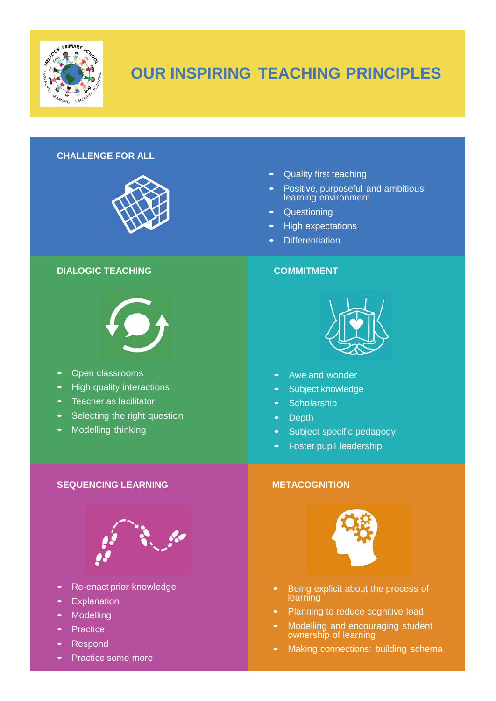

# **OUR INSPIRING TEACHING PRINCIPLES**

# **CHALLENGE FOR ALL**



## **DIALOGIC TEACHING COMMITMENT**



- Open classrooms
- High quality interactions
- Teacher as facilitator
- Selecting the right question
- Modelling thinking

# • Quality first teaching

- Positive, purposeful and ambitious learning environment
- Questioning
- High expectations
- Differentiation



- Awe and wonder
- Subject knowledge
- Scholarship
- Depth
- Subject specific pedagogy
- Foster pupil leadership



- Being explicit about the process of learning
- Planning to reduce cognitive load
- Modelling and encouraging student ownership of learning
- Making connections: building schema

# **SEQUENCING LEARNING METACOGNITION**



- Re-enact prior knowledge
- **Explanation**
- **Modelling**
- **Practice**
- Respond
- Practice some more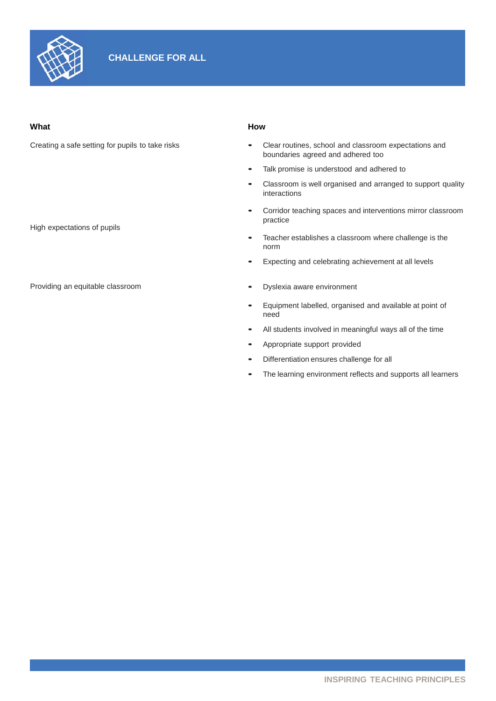

### **What How**

Creating a safe setting for pupils to take risks

High expectations of pupils

Providing an equitable classroom

- Clear routines, school and classroom expectations and boundaries agreed and adhered too
- Talk promise is understood and adhered to
- Classroom is well organised and arranged to support quality interactions
- Corridor teaching spaces and interventions mirror classroom practice
- Teacher establishes <sup>a</sup> classroom where challenge is the norm
- Expecting and celebrating achievement at all levels
- Dyslexia aware environment
- Equipment labelled, organised and available at point of need
- All students involved in meaningful ways all of the time
- Appropriate support provided
- Differentiation ensures challenge for all
- The learning environment reflects and supports all learners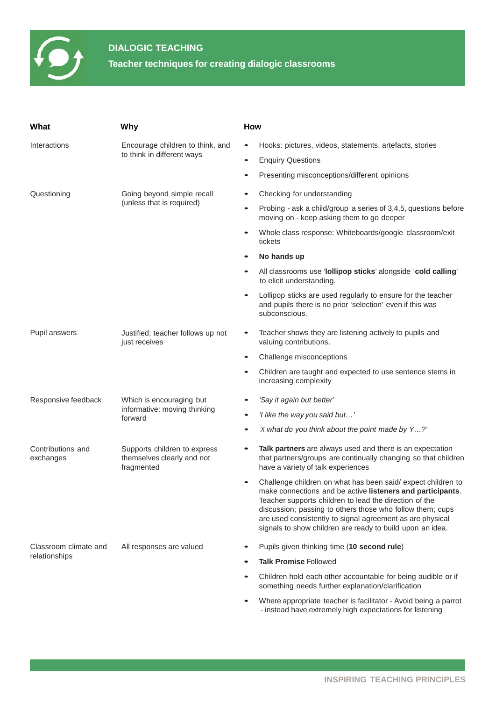

# **DIALOGIC TEACHING**

**Teacher techniques for creating dialogic classrooms**

| What                                   | Why                                                                      | How       |                                                                                                                                                                                                                                                                                                                                                                            |  |  |
|----------------------------------------|--------------------------------------------------------------------------|-----------|----------------------------------------------------------------------------------------------------------------------------------------------------------------------------------------------------------------------------------------------------------------------------------------------------------------------------------------------------------------------------|--|--|
| Interactions                           | Encourage children to think, and<br>to think in different ways           | $\bullet$ | Hooks: pictures, videos, statements, artefacts, stories                                                                                                                                                                                                                                                                                                                    |  |  |
|                                        |                                                                          |           | <b>Enquiry Questions</b>                                                                                                                                                                                                                                                                                                                                                   |  |  |
|                                        |                                                                          |           | Presenting misconceptions/different opinions                                                                                                                                                                                                                                                                                                                               |  |  |
| Questioning                            | Going beyond simple recall<br>(unless that is required)                  |           | Checking for understanding                                                                                                                                                                                                                                                                                                                                                 |  |  |
|                                        |                                                                          |           | Probing - ask a child/group a series of 3,4,5, questions before<br>moving on - keep asking them to go deeper                                                                                                                                                                                                                                                               |  |  |
|                                        |                                                                          |           | Whole class response: Whiteboards/google classroom/exit<br>tickets                                                                                                                                                                                                                                                                                                         |  |  |
|                                        |                                                                          |           | No hands up                                                                                                                                                                                                                                                                                                                                                                |  |  |
|                                        |                                                                          |           | All classrooms use 'lollipop sticks' alongside 'cold calling'<br>to elicit understanding.                                                                                                                                                                                                                                                                                  |  |  |
|                                        |                                                                          |           | Lollipop sticks are used regularly to ensure for the teacher<br>and pupils there is no prior 'selection' even if this was<br>subconscious.                                                                                                                                                                                                                                 |  |  |
| Pupil answers                          | Justified; teacher follows up not<br>just receives                       | $\bullet$ | Teacher shows they are listening actively to pupils and<br>valuing contributions.                                                                                                                                                                                                                                                                                          |  |  |
|                                        |                                                                          |           | Challenge misconceptions                                                                                                                                                                                                                                                                                                                                                   |  |  |
|                                        |                                                                          |           | Children are taught and expected to use sentence stems in<br>increasing complexity                                                                                                                                                                                                                                                                                         |  |  |
| Responsive feedback                    | Which is encouraging but<br>informative: moving thinking<br>forward      |           | 'Say it again but better'                                                                                                                                                                                                                                                                                                                                                  |  |  |
|                                        |                                                                          |           | 'I like the way you said but'                                                                                                                                                                                                                                                                                                                                              |  |  |
|                                        |                                                                          |           | 'X what do you think about the point made by Y?'                                                                                                                                                                                                                                                                                                                           |  |  |
| Contributions and<br>exchanges         | Supports children to express<br>themselves clearly and not<br>fragmented |           | Talk partners are always used and there is an expectation<br>that partners/groups are continually changing so that children<br>have a variety of talk experiences                                                                                                                                                                                                          |  |  |
|                                        |                                                                          |           | Challenge children on what has been said/expect children to<br>make connections and be active listeners and participants.<br>Teacher supports children to lead the direction of the<br>discussion; passing to others those who follow them; cups<br>are used consistently to signal agreement as are physical<br>signals to show children are ready to build upon an idea. |  |  |
| Classroom climate and<br>relationships | All responses are valued                                                 |           | Pupils given thinking time (10 second rule)                                                                                                                                                                                                                                                                                                                                |  |  |
|                                        |                                                                          |           | <b>Talk Promise Followed</b>                                                                                                                                                                                                                                                                                                                                               |  |  |
|                                        |                                                                          |           | Children hold each other accountable for being audible or if<br>something needs further explanation/clarification                                                                                                                                                                                                                                                          |  |  |
|                                        |                                                                          |           | Where appropriate teacher is facilitator - Avoid being a parrot<br>- instead have extremely high expectations for listening                                                                                                                                                                                                                                                |  |  |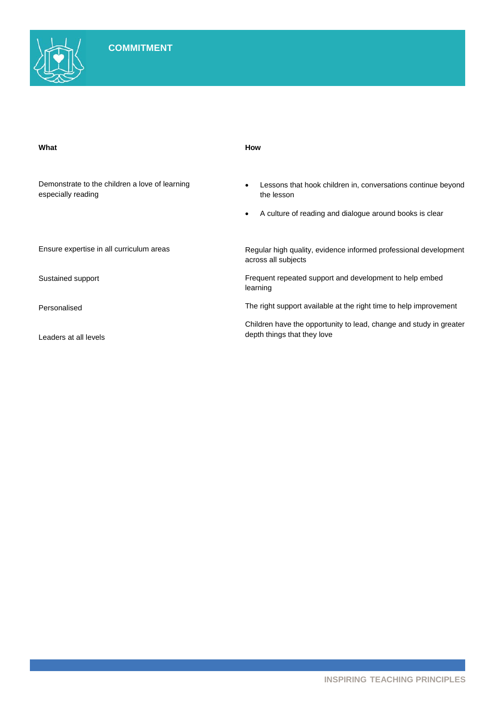| What                                                                 | How                                                                                                                                   |  |  |  |
|----------------------------------------------------------------------|---------------------------------------------------------------------------------------------------------------------------------------|--|--|--|
| Demonstrate to the children a love of learning<br>especially reading | Lessons that hook children in, conversations continue beyond<br>the lesson<br>A culture of reading and dialogue around books is clear |  |  |  |
| Ensure expertise in all curriculum areas                             | Regular high quality, evidence informed professional development<br>across all subjects                                               |  |  |  |
| Sustained support                                                    | Frequent repeated support and development to help embed<br>learning                                                                   |  |  |  |
| Personalised                                                         | The right support available at the right time to help improvement                                                                     |  |  |  |
| Leaders at all levels                                                | Children have the opportunity to lead, change and study in greater<br>depth things that they love                                     |  |  |  |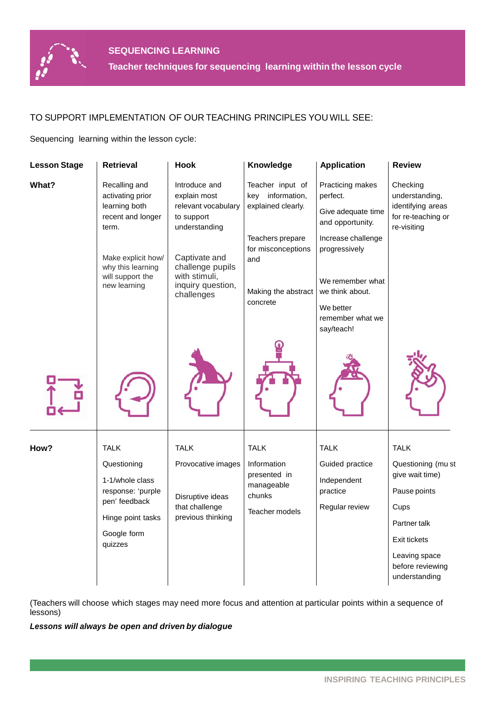

# TO SUPPORT IMPLEMENTATION OF OUR TEACHING PRINCIPLES YOU WILL SEE:

Sequencing learning within the lesson cycle:

| <b>Lesson Stage</b> | <b>Retrieval</b>                                                                                                    | <b>Hook</b>                                                                           | Knowledge                                                                        | <b>Application</b>                                                                                                        | <b>Review</b>                                                                                                                                       |
|---------------------|---------------------------------------------------------------------------------------------------------------------|---------------------------------------------------------------------------------------|----------------------------------------------------------------------------------|---------------------------------------------------------------------------------------------------------------------------|-----------------------------------------------------------------------------------------------------------------------------------------------------|
| <b>What?</b>        | Recalling and<br>activating prior<br>learning both<br>recent and longer<br>term.                                    | Introduce and<br>explain most<br>relevant vocabulary<br>to support<br>understanding   | Teacher input of<br>key information,<br>explained clearly.                       | Practicing makes<br>perfect.<br>Give adequate time<br>and opportunity.                                                    | Checking<br>understanding,<br>identifying areas<br>for re-teaching or<br>re-visiting                                                                |
|                     | Make explicit how/<br>why this learning<br>will support the<br>new learning                                         | Captivate and<br>challenge pupils<br>with stimuli,<br>inquiry question,<br>challenges | Teachers prepare<br>for misconceptions<br>and<br>Making the abstract<br>concrete | Increase challenge<br>progressively<br>We remember what<br>we think about.<br>We better<br>remember what we<br>say/teach! |                                                                                                                                                     |
|                     |                                                                                                                     |                                                                                       |                                                                                  |                                                                                                                           |                                                                                                                                                     |
| How?                | <b>TALK</b>                                                                                                         | <b>TALK</b>                                                                           | TALK                                                                             | <b>TALK</b>                                                                                                               | <b>TALK</b>                                                                                                                                         |
|                     | Questioning<br>1-1/whole class<br>response: 'purple<br>pen' feedback<br>Hinge point tasks<br>Google form<br>quizzes | Provocative images<br>Disruptive ideas<br>that challenge<br>previous thinking         | Information<br>presented in<br>manageable<br>chunks<br>Teacher models            | Guided practice<br>Independent<br>practice<br>Regular review                                                              | Questioning (mu st<br>give wait time)<br>Pause points<br>Cups<br>Partner talk<br>Exit tickets<br>Leaving space<br>before reviewing<br>understanding |
|                     |                                                                                                                     |                                                                                       |                                                                                  |                                                                                                                           |                                                                                                                                                     |

(Teachers will choose which stages may need more focus and attention at particular points within a sequence of lessons)

*Lessons will always be open and driven by dialogue*